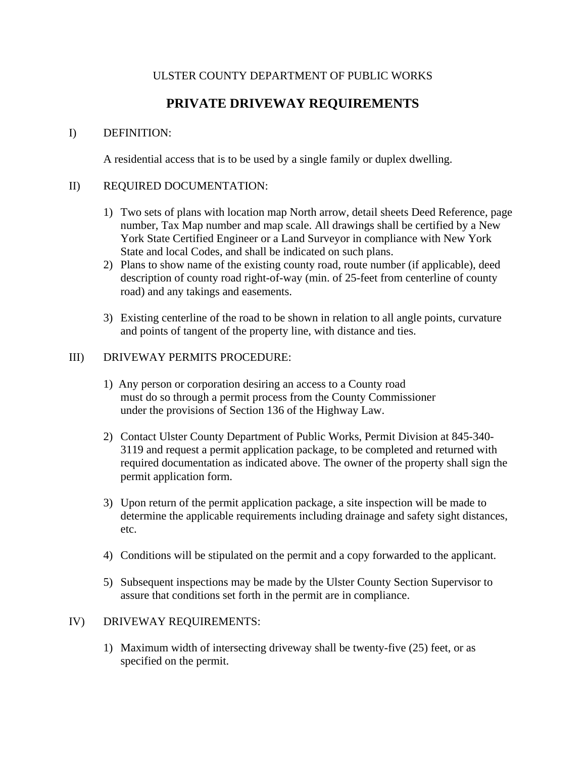## ULSTER COUNTY DEPARTMENT OF PUBLIC WORKS

# **PRIVATE DRIVEWAY REQUIREMENTS**

## I) DEFINITION:

A residential access that is to be used by a single family or duplex dwelling.

#### II) REQUIRED DOCUMENTATION:

- 1) Two sets of plans with location map North arrow, detail sheets Deed Reference, page number, Tax Map number and map scale. All drawings shall be certified by a New York State Certified Engineer or a Land Surveyor in compliance with New York State and local Codes, and shall be indicated on such plans.
- 2) Plans to show name of the existing county road, route number (if applicable), deed description of county road right-of-way (min. of 25-feet from centerline of county road) and any takings and easements.
- 3) Existing centerline of the road to be shown in relation to all angle points, curvature and points of tangent of the property line, with distance and ties.

#### III) DRIVEWAY PERMITS PROCEDURE:

- 1) Any person or corporation desiring an access to a County road must do so through a permit process from the County Commissioner under the provisions of Section 136 of the Highway Law.
- 2) Contact Ulster County Department of Public Works, Permit Division at 845-340- 3119 and request a permit application package, to be completed and returned with required documentation as indicated above. The owner of the property shall sign the permit application form.
- 3) Upon return of the permit application package, a site inspection will be made to determine the applicable requirements including drainage and safety sight distances, etc.
- 4) Conditions will be stipulated on the permit and a copy forwarded to the applicant.
- 5) Subsequent inspections may be made by the Ulster County Section Supervisor to assure that conditions set forth in the permit are in compliance.

### IV) DRIVEWAY REQUIREMENTS:

1) Maximum width of intersecting driveway shall be twenty-five (25) feet, or as specified on the permit.